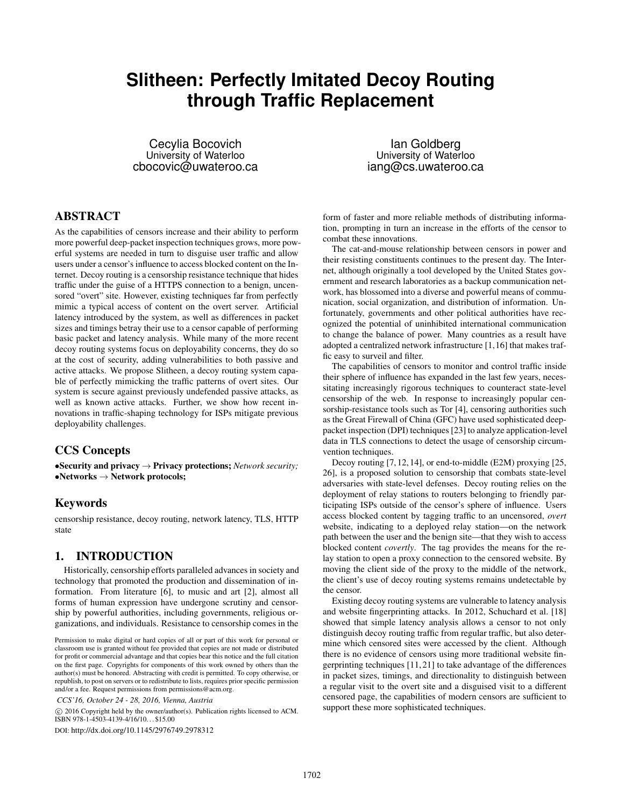# **Slitheen: Perfectly Imitated Decoy Routing through Traffic Replacement**

Cecylia Bocovich University of Waterloo cbocovic@uwateroo.ca

Ian Goldberg University of Waterloo iang@cs.uwateroo.ca

# ABSTRACT

As the capabilities of censors increase and their ability to perform more powerful deep-packet inspection techniques grows, more powerful systems are needed in turn to disguise user traffic and allow users under a censor's influence to access blocked content on the Internet. Decoy routing is a censorship resistance technique that hides traffic under the guise of a HTTPS connection to a benign, uncensored "overt" site. However, existing techniques far from perfectly mimic a typical access of content on the overt server. Artificial latency introduced by the system, as well as differences in packet sizes and timings betray their use to a censor capable of performing basic packet and latency analysis. While many of the more recent decoy routing systems focus on deployability concerns, they do so at the cost of security, adding vulnerabilities to both passive and active attacks. We propose Slitheen, a decoy routing system capable of perfectly mimicking the traffic patterns of overt sites. Our system is secure against previously undefended passive attacks, as well as known active attacks. Further, we show how recent innovations in traffic-shaping technology for ISPs mitigate previous deployability challenges.

### CCS Concepts

•Security and privacy → Privacy protections; *Network security;*  $\bullet$ Networks  $\rightarrow$  Network protocols;

### Keywords

censorship resistance, decoy routing, network latency, TLS, HTTP state

#### 1. INTRODUCTION

Historically, censorship efforts paralleled advances in society and technology that promoted the production and dissemination of information. From literature [6], to music and art [2], almost all forms of human expression have undergone scrutiny and censorship by powerful authorities, including governments, religious organizations, and individuals. Resistance to censorship comes in the

*CCS'16, October 24 - 28, 2016, Vienna, Austria*

 c 2016 Copyright held by the owner/author(s). Publication rights licensed to ACM. ISBN 978-1-4503-4139-4/16/10. . . \$15.00

DOI: http://dx.doi.org/10.1145/2976749.2978312

form of faster and more reliable methods of distributing information, prompting in turn an increase in the efforts of the censor to combat these innovations.

The cat-and-mouse relationship between censors in power and their resisting constituents continues to the present day. The Internet, although originally a tool developed by the United States government and research laboratories as a backup communication network, has blossomed into a diverse and powerful means of communication, social organization, and distribution of information. Unfortunately, governments and other political authorities have recognized the potential of uninhibited international communication to change the balance of power. Many countries as a result have adopted a centralized network infrastructure [1,16] that makes traffic easy to surveil and filter.

The capabilities of censors to monitor and control traffic inside their sphere of influence has expanded in the last few years, necessitating increasingly rigorous techniques to counteract state-level censorship of the web. In response to increasingly popular censorship-resistance tools such as Tor [4], censoring authorities such as the Great Firewall of China (GFC) have used sophisticated deeppacket inspection (DPI) techniques [23] to analyze application-level data in TLS connections to detect the usage of censorship circumvention techniques.

Decoy routing [7, 12, 14], or end-to-middle (E2M) proxying [25, 26], is a proposed solution to censorship that combats state-level adversaries with state-level defenses. Decoy routing relies on the deployment of relay stations to routers belonging to friendly participating ISPs outside of the censor's sphere of influence. Users access blocked content by tagging traffic to an uncensored, *overt* website, indicating to a deployed relay station—on the network path between the user and the benign site—that they wish to access blocked content *covertly*. The tag provides the means for the relay station to open a proxy connection to the censored website. By moving the client side of the proxy to the middle of the network, the client's use of decoy routing systems remains undetectable by the censor.

Existing decoy routing systems are vulnerable to latency analysis and website fingerprinting attacks. In 2012, Schuchard et al. [18] showed that simple latency analysis allows a censor to not only distinguish decoy routing traffic from regular traffic, but also determine which censored sites were accessed by the client. Although there is no evidence of censors using more traditional website fingerprinting techniques [11, 21] to take advantage of the differences in packet sizes, timings, and directionality to distinguish between a regular visit to the overt site and a disguised visit to a different censored page, the capabilities of modern censors are sufficient to support these more sophisticated techniques.

Permission to make digital or hard copies of all or part of this work for personal or classroom use is granted without fee provided that copies are not made or distributed for profit or commercial advantage and that copies bear this notice and the full citation on the first page. Copyrights for components of this work owned by others than the author(s) must be honored. Abstracting with credit is permitted. To copy otherwise, or republish, to post on servers or to redistribute to lists, requires prior specific permission and/or a fee. Request permissions from permissions@acm.org.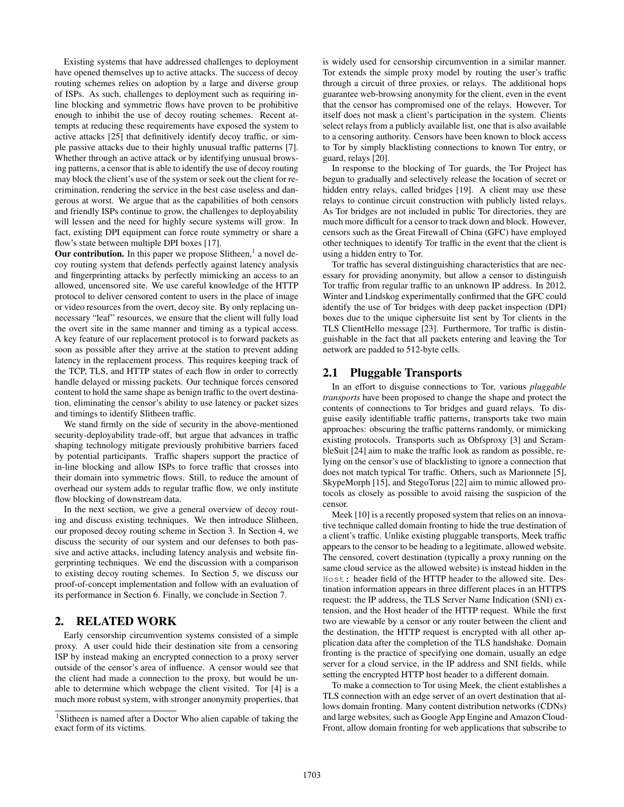Existing systems that have addressed challenges to deployment have opened themselves up to active attacks. The success of decoy routing schemes relies on adoption by a large and diverse group of ISPs. As such, challenges to deployment such as requiring inline blocking and symmetric flows have proven to be prohibitive enough to inhibit the use of decoy routing schemes. Recent attempts at reducing these requirements have exposed the system to active attacks [25] that definitively identify decoy traffic, or simple passive attacks due to their highly unusual traffic patterns [7]. Whether through an active attack or by identifying unusual browsing patterns, a censor that is able to identify the use of decoy routing may block the client's use of the system or seek out the client for recrimination, rendering the service in the best case useless and dangerous at worst. We argue that as the capabilities of both censors and friendly ISPs continue to grow, the challenges to deployability will lessen and the need for highly secure systems will grow. In fact, existing DPI equipment can force route symmetry or share a flow's state between multiple DPI boxes [17].

Our contribution. In this paper we propose Slitheen,<sup>1</sup> a novel decoy routing system that defends perfectly against latency analysis and fingerprinting attacks by perfectly mimicking an access to an allowed, uncensored site. We use careful knowledge of the HTTP protocol to deliver censored content to users in the place of image or video resources from the overt, decoy site. By only replacing unnecessary "leaf" resources, we ensure that the client will fully load the overt site in the same manner and timing as a typical access. A key feature of our replacement protocol is to forward packets as soon as possible after they arrive at the station to prevent adding latency in the replacement process. This requires keeping track of the TCP, TLS, and HTTP states of each flow in order to correctly handle delayed or missing packets. Our technique forces censored content to hold the same shape as benign traffic to the overt destination, eliminating the censor's ability to use latency or packet sizes and timings to identify Slitheen traffic.

We stand firmly on the side of security in the above-mentioned security-deployability trade-off, but argue that advances in traffic shaping technology mitigate previously prohibitive barriers faced by potential participants. Traffic shapers support the practice of in-line blocking and allow ISPs to force traffic that crosses into their domain into symmetric flows. Still, to reduce the amount of overhead our system adds to regular traffic flow, we only institute flow blocking of downstream data.

In the next section, we give a general overview of decoy routing and discuss existing techniques. We then introduce Slitheen, our proposed decoy routing scheme in Section 3. In Section 4, we discuss the security of our system and our defenses to both passive and active attacks, including latency analysis and website fingerprinting techniques. We end the discussion with a comparison to existing decoy routing schemes. In Section 5, we discuss our proof-of-concept implementation and follow with an evaluation of its performance in Section 6. Finally, we conclude in Section 7.

# 2. RELATED WORK

Early censorship circumvention systems consisted of a simple proxy. A user could hide their destination site from a censoring ISP by instead making an encrypted connection to a proxy server outside of the censor's area of influence. A censor would see that the client had made a connection to the proxy, but would be unable to determine which webpage the client visited. Tor [4] is a much more robust system, with stronger anonymity properties, that

is widely used for censorship circumvention in a similar manner. Tor extends the simple proxy model by routing the user's traffic through a circuit of three proxies, or relays. The additional hops guarantee web-browsing anonymity for the client, even in the event that the censor has compromised one of the relays. However, Tor itself does not mask a client's participation in the system. Clients select relays from a publicly available list, one that is also available to a censoring authority. Censors have been known to block access to Tor by simply blacklisting connections to known Tor entry, or guard, relays [20].

In response to the blocking of Tor guards, the Tor Project has begun to gradually and selectively release the location of secret or hidden entry relays, called bridges [19]. A client may use these relays to continue circuit construction with publicly listed relays. As Tor bridges are not included in public Tor directories, they are much more difficult for a censor to track down and block. However, censors such as the Great Firewall of China (GFC) have employed other techniques to identify Tor traffic in the event that the client is using a hidden entry to Tor.

Tor traffic has several distinguishing characteristics that are necessary for providing anonymity, but allow a censor to distinguish Tor traffic from regular traffic to an unknown IP address. In 2012, Winter and Lindskog experimentally confirmed that the GFC could identify the use of Tor bridges with deep packet inspection (DPI) boxes due to the unique ciphersuite list sent by Tor clients in the TLS ClientHello message [23]. Furthermore, Tor traffic is distinguishable in the fact that all packets entering and leaving the Tor network are padded to 512-byte cells.

#### 2.1 Pluggable Transports

In an effort to disguise connections to Tor, various *pluggable transports* have been proposed to change the shape and protect the contents of connections to Tor bridges and guard relays. To disguise easily identifiable traffic patterns, transports take two main approaches: obscuring the traffic patterns randomly, or mimicking existing protocols. Transports such as Obfsproxy [3] and ScrambleSuit [24] aim to make the traffic look as random as possible, relying on the censor's use of blacklisting to ignore a connection that does not match typical Tor traffic. Others, such as Marionnete [5], SkypeMorph [15], and StegoTorus [22] aim to mimic allowed protocols as closely as possible to avoid raising the suspicion of the censor.

Meek [10] is a recently proposed system that relies on an innovative technique called domain fronting to hide the true destination of a client's traffic. Unlike existing pluggable transports, Meek traffic appears to the censor to be heading to a legitimate, allowed website. The censored, covert destination (typically a proxy running on the same cloud service as the allowed website) is instead hidden in the Host: header field of the HTTP header to the allowed site. Destination information appears in three different places in an HTTPS request: the IP address, the TLS Server Name Indication (SNI) extension, and the Host header of the HTTP request. While the first two are viewable by a censor or any router between the client and the destination, the HTTP request is encrypted with all other application data after the completion of the TLS handshake. Domain fronting is the practice of specifying one domain, usually an edge server for a cloud service, in the IP address and SNI fields, while setting the encrypted HTTP host header to a different domain.

To make a connection to Tor using Meek, the client establishes a TLS connection with an edge server of an overt destination that allows domain fronting. Many content distribution networks (CDNs) and large websites, such as Google App Engine and Amazon Cloud-Front, allow domain fronting for web applications that subscribe to

<sup>&</sup>lt;sup>1</sup>Slitheen is named after a Doctor Who alien capable of taking the exact form of its victims.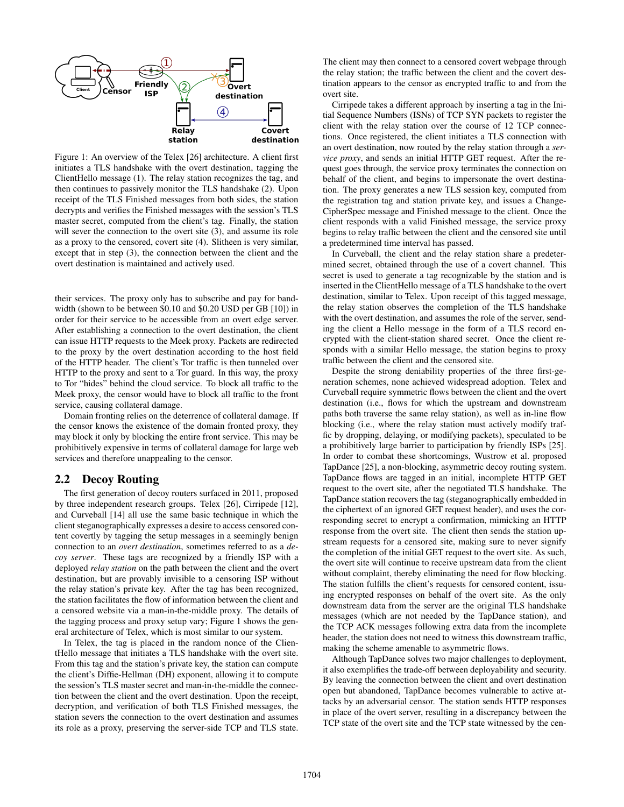

Figure 1: An overview of the Telex [26] architecture. A client first initiates a TLS handshake with the overt destination, tagging the ClientHello message (1). The relay station recognizes the tag, and then continues to passively monitor the TLS handshake (2). Upon receipt of the TLS Finished messages from both sides, the station decrypts and verifies the Finished messages with the session's TLS master secret, computed from the client's tag. Finally, the station will sever the connection to the overt site (3), and assume its role as a proxy to the censored, covert site (4). Slitheen is very similar, except that in step (3), the connection between the client and the overt destination is maintained and actively used.

their services. The proxy only has to subscribe and pay for bandwidth (shown to be between \$0.10 and \$0.20 USD per GB [10]) in order for their service to be accessible from an overt edge server. After establishing a connection to the overt destination, the client can issue HTTP requests to the Meek proxy. Packets are redirected to the proxy by the overt destination according to the host field of the HTTP header. The client's Tor traffic is then tunneled over HTTP to the proxy and sent to a Tor guard. In this way, the proxy to Tor "hides" behind the cloud service. To block all traffic to the Meek proxy, the censor would have to block all traffic to the front service, causing collateral damage.

Domain fronting relies on the deterrence of collateral damage. If the censor knows the existence of the domain fronted proxy, they may block it only by blocking the entire front service. This may be prohibitively expensive in terms of collateral damage for large web services and therefore unappealing to the censor.

#### 2.2 Decoy Routing

The first generation of decoy routers surfaced in 2011, proposed by three independent research groups. Telex [26], Cirripede [12], and Curveball [14] all use the same basic technique in which the client steganographically expresses a desire to access censored content covertly by tagging the setup messages in a seemingly benign connection to an *overt destination*, sometimes referred to as a *decoy server*. These tags are recognized by a friendly ISP with a deployed *relay station* on the path between the client and the overt destination, but are provably invisible to a censoring ISP without the relay station's private key. After the tag has been recognized, the station facilitates the flow of information between the client and a censored website via a man-in-the-middle proxy. The details of the tagging process and proxy setup vary; Figure 1 shows the general architecture of Telex, which is most similar to our system.

In Telex, the tag is placed in the random nonce of the ClientHello message that initiates a TLS handshake with the overt site. From this tag and the station's private key, the station can compute the client's Diffie-Hellman (DH) exponent, allowing it to compute the session's TLS master secret and man-in-the-middle the connection between the client and the overt destination. Upon the receipt, decryption, and verification of both TLS Finished messages, the station severs the connection to the overt destination and assumes its role as a proxy, preserving the server-side TCP and TLS state.

The client may then connect to a censored covert webpage through the relay station; the traffic between the client and the covert destination appears to the censor as encrypted traffic to and from the overt site.

Cirripede takes a different approach by inserting a tag in the Initial Sequence Numbers (ISNs) of TCP SYN packets to register the client with the relay station over the course of 12 TCP connections. Once registered, the client initiates a TLS connection with an overt destination, now routed by the relay station through a *service proxy*, and sends an initial HTTP GET request. After the request goes through, the service proxy terminates the connection on behalf of the client, and begins to impersonate the overt destination. The proxy generates a new TLS session key, computed from the registration tag and station private key, and issues a Change-CipherSpec message and Finished message to the client. Once the client responds with a valid Finished message, the service proxy begins to relay traffic between the client and the censored site until a predetermined time interval has passed.

In Curveball, the client and the relay station share a predetermined secret, obtained through the use of a covert channel. This secret is used to generate a tag recognizable by the station and is inserted in the ClientHello message of a TLS handshake to the overt destination, similar to Telex. Upon receipt of this tagged message, the relay station observes the completion of the TLS handshake with the overt destination, and assumes the role of the server, sending the client a Hello message in the form of a TLS record encrypted with the client-station shared secret. Once the client responds with a similar Hello message, the station begins to proxy traffic between the client and the censored site.

Despite the strong deniability properties of the three first-generation schemes, none achieved widespread adoption. Telex and Curveball require symmetric flows between the client and the overt destination (i.e., flows for which the upstream and downstream paths both traverse the same relay station), as well as in-line flow blocking (i.e., where the relay station must actively modify traffic by dropping, delaying, or modifying packets), speculated to be a prohibitively large barrier to participation by friendly ISPs [25]. In order to combat these shortcomings, Wustrow et al. proposed TapDance [25], a non-blocking, asymmetric decoy routing system. TapDance flows are tagged in an initial, incomplete HTTP GET request to the overt site, after the negotiated TLS handshake. The TapDance station recovers the tag (steganographically embedded in the ciphertext of an ignored GET request header), and uses the corresponding secret to encrypt a confirmation, mimicking an HTTP response from the overt site. The client then sends the station upstream requests for a censored site, making sure to never signify the completion of the initial GET request to the overt site. As such, the overt site will continue to receive upstream data from the client without complaint, thereby eliminating the need for flow blocking. The station fulfills the client's requests for censored content, issuing encrypted responses on behalf of the overt site. As the only downstream data from the server are the original TLS handshake messages (which are not needed by the TapDance station), and the TCP ACK messages following extra data from the incomplete header, the station does not need to witness this downstream traffic, making the scheme amenable to asymmetric flows.

Although TapDance solves two major challenges to deployment, it also exemplifies the trade-off between deployability and security. By leaving the connection between the client and overt destination open but abandoned, TapDance becomes vulnerable to active attacks by an adversarial censor. The station sends HTTP responses in place of the overt server, resulting in a discrepancy between the TCP state of the overt site and the TCP state witnessed by the cen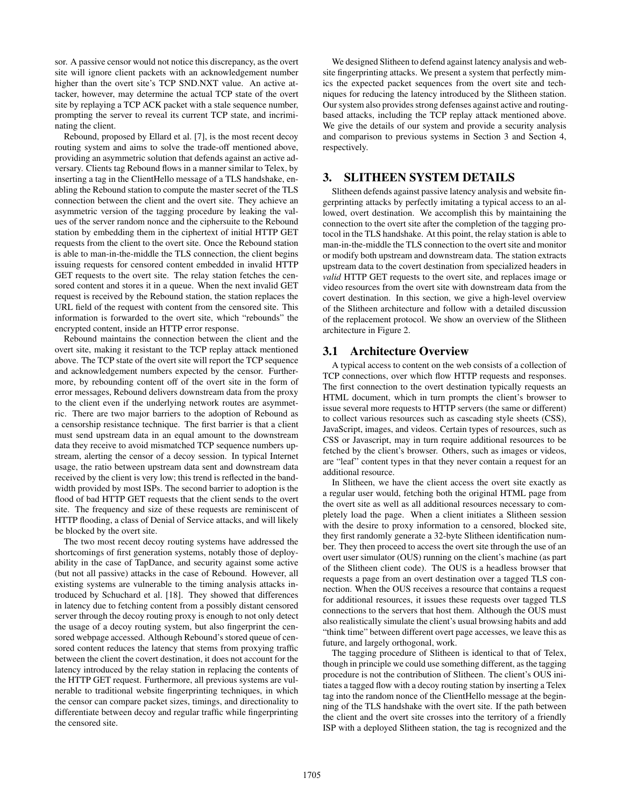sor. A passive censor would not notice this discrepancy, as the overt site will ignore client packets with an acknowledgement number higher than the overt site's TCP SND.NXT value. An active attacker, however, may determine the actual TCP state of the overt site by replaying a TCP ACK packet with a stale sequence number, prompting the server to reveal its current TCP state, and incriminating the client.

Rebound, proposed by Ellard et al. [7], is the most recent decoy routing system and aims to solve the trade-off mentioned above, providing an asymmetric solution that defends against an active adversary. Clients tag Rebound flows in a manner similar to Telex, by inserting a tag in the ClientHello message of a TLS handshake, enabling the Rebound station to compute the master secret of the TLS connection between the client and the overt site. They achieve an asymmetric version of the tagging procedure by leaking the values of the server random nonce and the ciphersuite to the Rebound station by embedding them in the ciphertext of initial HTTP GET requests from the client to the overt site. Once the Rebound station is able to man-in-the-middle the TLS connection, the client begins issuing requests for censored content embedded in invalid HTTP GET requests to the overt site. The relay station fetches the censored content and stores it in a queue. When the next invalid GET request is received by the Rebound station, the station replaces the URL field of the request with content from the censored site. This information is forwarded to the overt site, which "rebounds" the encrypted content, inside an HTTP error response.

Rebound maintains the connection between the client and the overt site, making it resistant to the TCP replay attack mentioned above. The TCP state of the overt site will report the TCP sequence and acknowledgement numbers expected by the censor. Furthermore, by rebounding content off of the overt site in the form of error messages, Rebound delivers downstream data from the proxy to the client even if the underlying network routes are asymmetric. There are two major barriers to the adoption of Rebound as a censorship resistance technique. The first barrier is that a client must send upstream data in an equal amount to the downstream data they receive to avoid mismatched TCP sequence numbers upstream, alerting the censor of a decoy session. In typical Internet usage, the ratio between upstream data sent and downstream data received by the client is very low; this trend is reflected in the bandwidth provided by most ISPs. The second barrier to adoption is the flood of bad HTTP GET requests that the client sends to the overt site. The frequency and size of these requests are reminiscent of HTTP flooding, a class of Denial of Service attacks, and will likely be blocked by the overt site.

The two most recent decoy routing systems have addressed the shortcomings of first generation systems, notably those of deployability in the case of TapDance, and security against some active (but not all passive) attacks in the case of Rebound. However, all existing systems are vulnerable to the timing analysis attacks introduced by Schuchard et al. [18]. They showed that differences in latency due to fetching content from a possibly distant censored server through the decoy routing proxy is enough to not only detect the usage of a decoy routing system, but also fingerprint the censored webpage accessed. Although Rebound's stored queue of censored content reduces the latency that stems from proxying traffic between the client the covert destination, it does not account for the latency introduced by the relay station in replacing the contents of the HTTP GET request. Furthermore, all previous systems are vulnerable to traditional website fingerprinting techniques, in which the censor can compare packet sizes, timings, and directionality to differentiate between decoy and regular traffic while fingerprinting the censored site.

We designed Slitheen to defend against latency analysis and website fingerprinting attacks. We present a system that perfectly mimics the expected packet sequences from the overt site and techniques for reducing the latency introduced by the Slitheen station. Our system also provides strong defenses against active and routingbased attacks, including the TCP replay attack mentioned above. We give the details of our system and provide a security analysis and comparison to previous systems in Section 3 and Section 4, respectively.

# 3. SLITHEEN SYSTEM DETAILS

Slitheen defends against passive latency analysis and website fingerprinting attacks by perfectly imitating a typical access to an allowed, overt destination. We accomplish this by maintaining the connection to the overt site after the completion of the tagging protocol in the TLS handshake. At this point, the relay station is able to man-in-the-middle the TLS connection to the overt site and monitor or modify both upstream and downstream data. The station extracts upstream data to the covert destination from specialized headers in *valid* HTTP GET requests to the overt site, and replaces image or video resources from the overt site with downstream data from the covert destination. In this section, we give a high-level overview of the Slitheen architecture and follow with a detailed discussion of the replacement protocol. We show an overview of the Slitheen architecture in Figure 2.

#### 3.1 Architecture Overview

A typical access to content on the web consists of a collection of TCP connections, over which flow HTTP requests and responses. The first connection to the overt destination typically requests an HTML document, which in turn prompts the client's browser to issue several more requests to HTTP servers (the same or different) to collect various resources such as cascading style sheets (CSS), JavaScript, images, and videos. Certain types of resources, such as CSS or Javascript, may in turn require additional resources to be fetched by the client's browser. Others, such as images or videos, are "leaf" content types in that they never contain a request for an additional resource.

In Slitheen, we have the client access the overt site exactly as a regular user would, fetching both the original HTML page from the overt site as well as all additional resources necessary to completely load the page. When a client initiates a Slitheen session with the desire to proxy information to a censored, blocked site, they first randomly generate a 32-byte Slitheen identification number. They then proceed to access the overt site through the use of an overt user simulator (OUS) running on the client's machine (as part of the Slitheen client code). The OUS is a headless browser that requests a page from an overt destination over a tagged TLS connection. When the OUS receives a resource that contains a request for additional resources, it issues these requests over tagged TLS connections to the servers that host them. Although the OUS must also realistically simulate the client's usual browsing habits and add "think time" between different overt page accesses, we leave this as future, and largely orthogonal, work.

The tagging procedure of Slitheen is identical to that of Telex, though in principle we could use something different, as the tagging procedure is not the contribution of Slitheen. The client's OUS initiates a tagged flow with a decoy routing station by inserting a Telex tag into the random nonce of the ClientHello message at the beginning of the TLS handshake with the overt site. If the path between the client and the overt site crosses into the territory of a friendly ISP with a deployed Slitheen station, the tag is recognized and the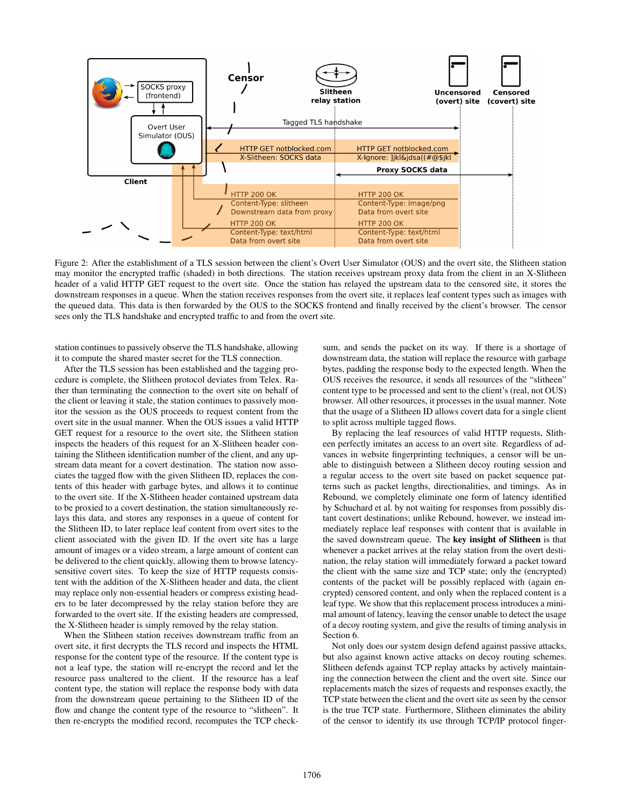

Figure 2: After the establishment of a TLS session between the client's Overt User Simulator (OUS) and the overt site, the Slitheen station may monitor the encrypted traffic (shaded) in both directions. The station receives upstream proxy data from the client in an X-Slitheen header of a valid HTTP GET request to the overt site. Once the station has relayed the upstream data to the censored site, it stores the downstream responses in a queue. When the station receives responses from the overt site, it replaces leaf content types such as images with the queued data. This data is then forwarded by the OUS to the SOCKS frontend and finally received by the client's browser. The censor sees only the TLS handshake and encrypted traffic to and from the overt site.

station continues to passively observe the TLS handshake, allowing it to compute the shared master secret for the TLS connection.

After the TLS session has been established and the tagging procedure is complete, the Slitheen protocol deviates from Telex. Rather than terminating the connection to the overt site on behalf of the client or leaving it stale, the station continues to passively monitor the session as the OUS proceeds to request content from the overt site in the usual manner. When the OUS issues a valid HTTP GET request for a resource to the overt site, the Slitheen station inspects the headers of this request for an X-Slitheen header containing the Slitheen identification number of the client, and any upstream data meant for a covert destination. The station now associates the tagged flow with the given Slitheen ID, replaces the contents of this header with garbage bytes, and allows it to continue to the overt site. If the X-Slitheen header contained upstream data to be proxied to a covert destination, the station simultaneously relays this data, and stores any responses in a queue of content for the Slitheen ID, to later replace leaf content from overt sites to the client associated with the given ID. If the overt site has a large amount of images or a video stream, a large amount of content can be delivered to the client quickly, allowing them to browse latencysensitive covert sites. To keep the size of HTTP requests consistent with the addition of the X-Slitheen header and data, the client may replace only non-essential headers or compress existing headers to be later decompressed by the relay station before they are forwarded to the overt site. If the existing headers are compressed, the X-Slitheen header is simply removed by the relay station.

When the Slitheen station receives downstream traffic from an overt site, it first decrypts the TLS record and inspects the HTML response for the content type of the resource. If the content type is not a leaf type, the station will re-encrypt the record and let the resource pass unaltered to the client. If the resource has a leaf content type, the station will replace the response body with data from the downstream queue pertaining to the Slitheen ID of the flow and change the content type of the resource to "slitheen". It then re-encrypts the modified record, recomputes the TCP checksum, and sends the packet on its way. If there is a shortage of downstream data, the station will replace the resource with garbage bytes, padding the response body to the expected length. When the OUS receives the resource, it sends all resources of the "slitheen" content type to be processed and sent to the client's (real, not OUS) browser. All other resources, it processes in the usual manner. Note that the usage of a Slitheen ID allows covert data for a single client to split across multiple tagged flows.

By replacing the leaf resources of valid HTTP requests, Slitheen perfectly imitates an access to an overt site. Regardless of advances in website fingerprinting techniques, a censor will be unable to distinguish between a Slitheen decoy routing session and a regular access to the overt site based on packet sequence patterns such as packet lengths, directionalities, and timings. As in Rebound, we completely eliminate one form of latency identified by Schuchard et al. by not waiting for responses from possibly distant covert destinations; unlike Rebound, however, we instead immediately replace leaf responses with content that is available in the saved downstream queue. The key insight of Slitheen is that whenever a packet arrives at the relay station from the overt destination, the relay station will immediately forward a packet toward the client with the same size and TCP state; only the (encrypted) contents of the packet will be possibly replaced with (again encrypted) censored content, and only when the replaced content is a leaf type. We show that this replacement process introduces a minimal amount of latency, leaving the censor unable to detect the usage of a decoy routing system, and give the results of timing analysis in Section 6.

Not only does our system design defend against passive attacks, but also against known active attacks on decoy routing schemes. Slitheen defends against TCP replay attacks by actively maintaining the connection between the client and the overt site. Since our replacements match the sizes of requests and responses exactly, the TCP state between the client and the overt site as seen by the censor is the true TCP state. Furthermore, Slitheen eliminates the ability of the censor to identify its use through TCP/IP protocol finger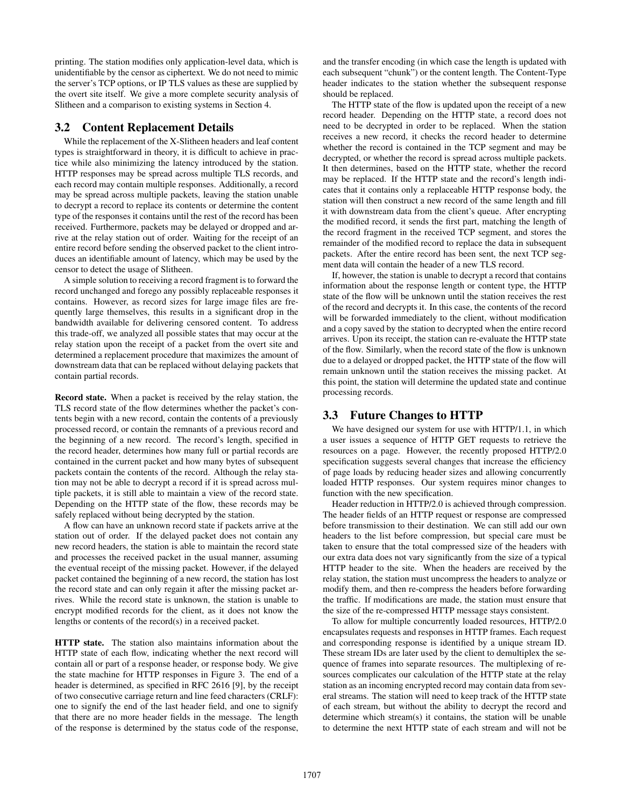printing. The station modifies only application-level data, which is unidentifiable by the censor as ciphertext. We do not need to mimic the server's TCP options, or IP TLS values as these are supplied by the overt site itself. We give a more complete security analysis of Slitheen and a comparison to existing systems in Section 4.

#### 3.2 Content Replacement Details

While the replacement of the X-Slitheen headers and leaf content types is straightforward in theory, it is difficult to achieve in practice while also minimizing the latency introduced by the station. HTTP responses may be spread across multiple TLS records, and each record may contain multiple responses. Additionally, a record may be spread across multiple packets, leaving the station unable to decrypt a record to replace its contents or determine the content type of the responses it contains until the rest of the record has been received. Furthermore, packets may be delayed or dropped and arrive at the relay station out of order. Waiting for the receipt of an entire record before sending the observed packet to the client introduces an identifiable amount of latency, which may be used by the censor to detect the usage of Slitheen.

A simple solution to receiving a record fragment is to forward the record unchanged and forego any possibly replaceable responses it contains. However, as record sizes for large image files are frequently large themselves, this results in a significant drop in the bandwidth available for delivering censored content. To address this trade-off, we analyzed all possible states that may occur at the relay station upon the receipt of a packet from the overt site and determined a replacement procedure that maximizes the amount of downstream data that can be replaced without delaying packets that contain partial records.

Record state. When a packet is received by the relay station, the TLS record state of the flow determines whether the packet's contents begin with a new record, contain the contents of a previously processed record, or contain the remnants of a previous record and the beginning of a new record. The record's length, specified in the record header, determines how many full or partial records are contained in the current packet and how many bytes of subsequent packets contain the contents of the record. Although the relay station may not be able to decrypt a record if it is spread across multiple packets, it is still able to maintain a view of the record state. Depending on the HTTP state of the flow, these records may be safely replaced without being decrypted by the station.

A flow can have an unknown record state if packets arrive at the station out of order. If the delayed packet does not contain any new record headers, the station is able to maintain the record state and processes the received packet in the usual manner, assuming the eventual receipt of the missing packet. However, if the delayed packet contained the beginning of a new record, the station has lost the record state and can only regain it after the missing packet arrives. While the record state is unknown, the station is unable to encrypt modified records for the client, as it does not know the lengths or contents of the record(s) in a received packet.

HTTP state. The station also maintains information about the HTTP state of each flow, indicating whether the next record will contain all or part of a response header, or response body. We give the state machine for HTTP responses in Figure 3. The end of a header is determined, as specified in RFC 2616 [9], by the receipt of two consecutive carriage return and line feed characters (CRLF): one to signify the end of the last header field, and one to signify that there are no more header fields in the message. The length of the response is determined by the status code of the response,

and the transfer encoding (in which case the length is updated with each subsequent "chunk") or the content length. The Content-Type header indicates to the station whether the subsequent response should be replaced.

The HTTP state of the flow is updated upon the receipt of a new record header. Depending on the HTTP state, a record does not need to be decrypted in order to be replaced. When the station receives a new record, it checks the record header to determine whether the record is contained in the TCP segment and may be decrypted, or whether the record is spread across multiple packets. It then determines, based on the HTTP state, whether the record may be replaced. If the HTTP state and the record's length indicates that it contains only a replaceable HTTP response body, the station will then construct a new record of the same length and fill it with downstream data from the client's queue. After encrypting the modified record, it sends the first part, matching the length of the record fragment in the received TCP segment, and stores the remainder of the modified record to replace the data in subsequent packets. After the entire record has been sent, the next TCP segment data will contain the header of a new TLS record.

If, however, the station is unable to decrypt a record that contains information about the response length or content type, the HTTP state of the flow will be unknown until the station receives the rest of the record and decrypts it. In this case, the contents of the record will be forwarded immediately to the client, without modification and a copy saved by the station to decrypted when the entire record arrives. Upon its receipt, the station can re-evaluate the HTTP state of the flow. Similarly, when the record state of the flow is unknown due to a delayed or dropped packet, the HTTP state of the flow will remain unknown until the station receives the missing packet. At this point, the station will determine the updated state and continue processing records.

#### 3.3 Future Changes to HTTP

We have designed our system for use with HTTP/1.1, in which a user issues a sequence of HTTP GET requests to retrieve the resources on a page. However, the recently proposed HTTP/2.0 specification suggests several changes that increase the efficiency of page loads by reducing header sizes and allowing concurrently loaded HTTP responses. Our system requires minor changes to function with the new specification.

Header reduction in HTTP/2.0 is achieved through compression. The header fields of an HTTP request or response are compressed before transmission to their destination. We can still add our own headers to the list before compression, but special care must be taken to ensure that the total compressed size of the headers with our extra data does not vary significantly from the size of a typical HTTP header to the site. When the headers are received by the relay station, the station must uncompress the headers to analyze or modify them, and then re-compress the headers before forwarding the traffic. If modifications are made, the station must ensure that the size of the re-compressed HTTP message stays consistent.

To allow for multiple concurrently loaded resources, HTTP/2.0 encapsulates requests and responses in HTTP frames. Each request and corresponding response is identified by a unique stream ID. These stream IDs are later used by the client to demultiplex the sequence of frames into separate resources. The multiplexing of resources complicates our calculation of the HTTP state at the relay station as an incoming encrypted record may contain data from several streams. The station will need to keep track of the HTTP state of each stream, but without the ability to decrypt the record and determine which stream(s) it contains, the station will be unable to determine the next HTTP state of each stream and will not be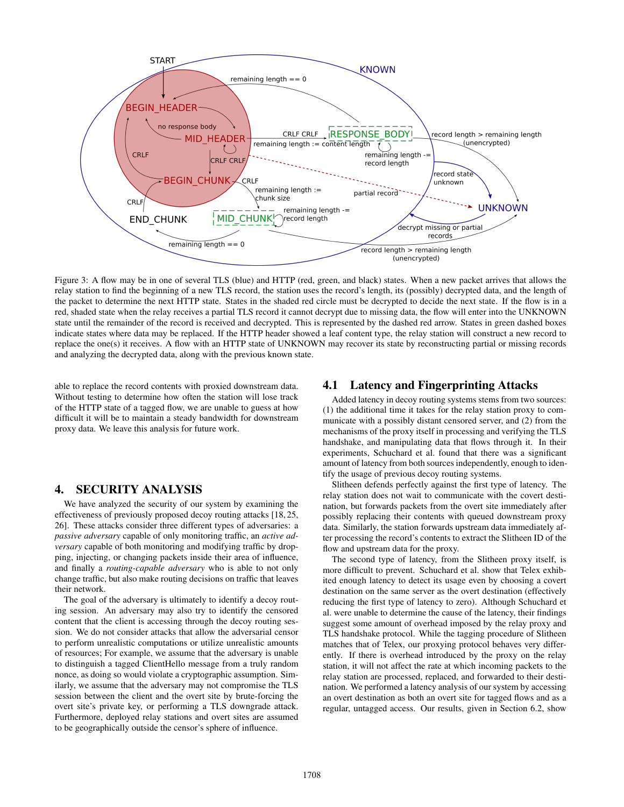

Figure 3: A flow may be in one of several TLS (blue) and HTTP (red, green, and black) states. When a new packet arrives that allows the relay station to find the beginning of a new TLS record, the station uses the record's length, its (possibly) decrypted data, and the length of the packet to determine the next HTTP state. States in the shaded red circle must be decrypted to decide the next state. If the flow is in a red, shaded state when the relay receives a partial TLS record it cannot decrypt due to missing data, the flow will enter into the UNKNOWN state until the remainder of the record is received and decrypted. This is represented by the dashed red arrow. States in green dashed boxes indicate states where data may be replaced. If the HTTP header showed a leaf content type, the relay station will construct a new record to replace the one(s) it receives. A flow with an HTTP state of UNKNOWN may recover its state by reconstructing partial or missing records and analyzing the decrypted data, along with the previous known state.

able to replace the record contents with proxied downstream data. Without testing to determine how often the station will lose track of the HTTP state of a tagged flow, we are unable to guess at how difficult it will be to maintain a steady bandwidth for downstream proxy data. We leave this analysis for future work.

#### 4. SECURITY ANALYSIS

We have analyzed the security of our system by examining the effectiveness of previously proposed decoy routing attacks [18, 25, 26]. These attacks consider three different types of adversaries: a *passive adversary* capable of only monitoring traffic, an *active adversary* capable of both monitoring and modifying traffic by dropping, injecting, or changing packets inside their area of influence, and finally a *routing-capable adversary* who is able to not only change traffic, but also make routing decisions on traffic that leaves their network.

The goal of the adversary is ultimately to identify a decoy routing session. An adversary may also try to identify the censored content that the client is accessing through the decoy routing session. We do not consider attacks that allow the adversarial censor to perform unrealistic computations or utilize unrealistic amounts of resources; For example, we assume that the adversary is unable to distinguish a tagged ClientHello message from a truly random nonce, as doing so would violate a cryptographic assumption. Similarly, we assume that the adversary may not compromise the TLS session between the client and the overt site by brute-forcing the overt site's private key, or performing a TLS downgrade attack. Furthermore, deployed relay stations and overt sites are assumed to be geographically outside the censor's sphere of influence.

#### 4.1 Latency and Fingerprinting Attacks

Added latency in decoy routing systems stems from two sources: (1) the additional time it takes for the relay station proxy to communicate with a possibly distant censored server, and (2) from the mechanisms of the proxy itself in processing and verifying the TLS handshake, and manipulating data that flows through it. In their experiments, Schuchard et al. found that there was a significant amount of latency from both sources independently, enough to identify the usage of previous decoy routing systems.

Slitheen defends perfectly against the first type of latency. The relay station does not wait to communicate with the covert destination, but forwards packets from the overt site immediately after possibly replacing their contents with queued downstream proxy data. Similarly, the station forwards upstream data immediately after processing the record's contents to extract the Slitheen ID of the flow and upstream data for the proxy.

The second type of latency, from the Slitheen proxy itself, is more difficult to prevent. Schuchard et al. show that Telex exhibited enough latency to detect its usage even by choosing a covert destination on the same server as the overt destination (effectively reducing the first type of latency to zero). Although Schuchard et al. were unable to determine the cause of the latency, their findings suggest some amount of overhead imposed by the relay proxy and TLS handshake protocol. While the tagging procedure of Slitheen matches that of Telex, our proxying protocol behaves very differently. If there is overhead introduced by the proxy on the relay station, it will not affect the rate at which incoming packets to the relay station are processed, replaced, and forwarded to their destination. We performed a latency analysis of our system by accessing an overt destination as both an overt site for tagged flows and as a regular, untagged access. Our results, given in Section 6.2, show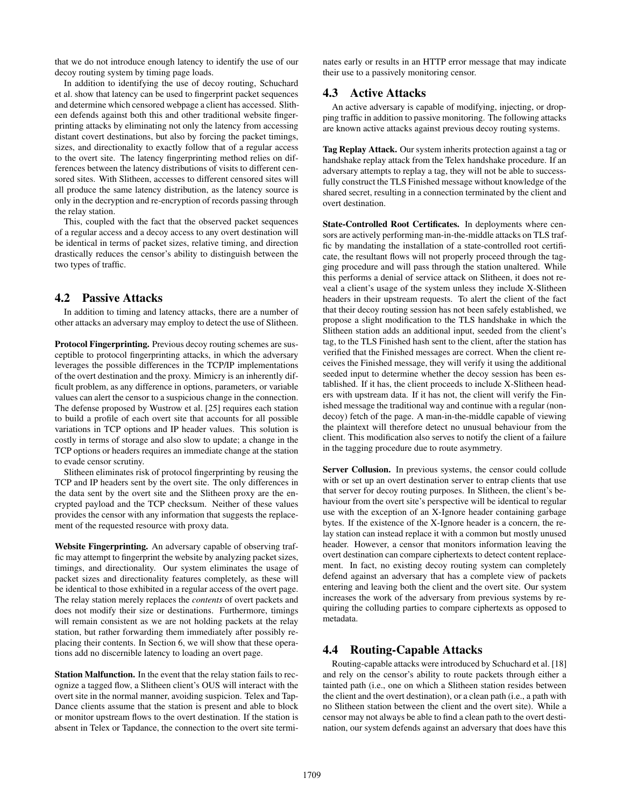that we do not introduce enough latency to identify the use of our decoy routing system by timing page loads.

In addition to identifying the use of decoy routing, Schuchard et al. show that latency can be used to fingerprint packet sequences and determine which censored webpage a client has accessed. Slitheen defends against both this and other traditional website fingerprinting attacks by eliminating not only the latency from accessing distant covert destinations, but also by forcing the packet timings, sizes, and directionality to exactly follow that of a regular access to the overt site. The latency fingerprinting method relies on differences between the latency distributions of visits to different censored sites. With Slitheen, accesses to different censored sites will all produce the same latency distribution, as the latency source is only in the decryption and re-encryption of records passing through the relay station.

This, coupled with the fact that the observed packet sequences of a regular access and a decoy access to any overt destination will be identical in terms of packet sizes, relative timing, and direction drastically reduces the censor's ability to distinguish between the two types of traffic.

#### 4.2 Passive Attacks

In addition to timing and latency attacks, there are a number of other attacks an adversary may employ to detect the use of Slitheen.

Protocol Fingerprinting. Previous decoy routing schemes are susceptible to protocol fingerprinting attacks, in which the adversary leverages the possible differences in the TCP/IP implementations of the overt destination and the proxy. Mimicry is an inherently difficult problem, as any difference in options, parameters, or variable values can alert the censor to a suspicious change in the connection. The defense proposed by Wustrow et al. [25] requires each station to build a profile of each overt site that accounts for all possible variations in TCP options and IP header values. This solution is costly in terms of storage and also slow to update; a change in the TCP options or headers requires an immediate change at the station to evade censor scrutiny.

Slitheen eliminates risk of protocol fingerprinting by reusing the TCP and IP headers sent by the overt site. The only differences in the data sent by the overt site and the Slitheen proxy are the encrypted payload and the TCP checksum. Neither of these values provides the censor with any information that suggests the replacement of the requested resource with proxy data.

Website Fingerprinting. An adversary capable of observing traffic may attempt to fingerprint the website by analyzing packet sizes, timings, and directionality. Our system eliminates the usage of packet sizes and directionality features completely, as these will be identical to those exhibited in a regular access of the overt page. The relay station merely replaces the *contents* of overt packets and does not modify their size or destinations. Furthermore, timings will remain consistent as we are not holding packets at the relay station, but rather forwarding them immediately after possibly replacing their contents. In Section 6, we will show that these operations add no discernible latency to loading an overt page.

Station Malfunction. In the event that the relay station fails to recognize a tagged flow, a Slitheen client's OUS will interact with the overt site in the normal manner, avoiding suspicion. Telex and Tap-Dance clients assume that the station is present and able to block or monitor upstream flows to the overt destination. If the station is absent in Telex or Tapdance, the connection to the overt site terminates early or results in an HTTP error message that may indicate their use to a passively monitoring censor.

#### 4.3 Active Attacks

An active adversary is capable of modifying, injecting, or dropping traffic in addition to passive monitoring. The following attacks are known active attacks against previous decoy routing systems.

Tag Replay Attack. Our system inherits protection against a tag or handshake replay attack from the Telex handshake procedure. If an adversary attempts to replay a tag, they will not be able to successfully construct the TLS Finished message without knowledge of the shared secret, resulting in a connection terminated by the client and overt destination.

State-Controlled Root Certificates. In deployments where censors are actively performing man-in-the-middle attacks on TLS traffic by mandating the installation of a state-controlled root certificate, the resultant flows will not properly proceed through the tagging procedure and will pass through the station unaltered. While this performs a denial of service attack on Slitheen, it does not reveal a client's usage of the system unless they include X-Slitheen headers in their upstream requests. To alert the client of the fact that their decoy routing session has not been safely established, we propose a slight modification to the TLS handshake in which the Slitheen station adds an additional input, seeded from the client's tag, to the TLS Finished hash sent to the client, after the station has verified that the Finished messages are correct. When the client receives the Finished message, they will verify it using the additional seeded input to determine whether the decoy session has been established. If it has, the client proceeds to include X-Slitheen headers with upstream data. If it has not, the client will verify the Finished message the traditional way and continue with a regular (nondecoy) fetch of the page. A man-in-the-middle capable of viewing the plaintext will therefore detect no unusual behaviour from the client. This modification also serves to notify the client of a failure in the tagging procedure due to route asymmetry.

Server Collusion. In previous systems, the censor could collude with or set up an overt destination server to entrap clients that use that server for decoy routing purposes. In Slitheen, the client's behaviour from the overt site's perspective will be identical to regular use with the exception of an X-Ignore header containing garbage bytes. If the existence of the X-Ignore header is a concern, the relay station can instead replace it with a common but mostly unused header. However, a censor that monitors information leaving the overt destination can compare ciphertexts to detect content replacement. In fact, no existing decoy routing system can completely defend against an adversary that has a complete view of packets entering and leaving both the client and the overt site. Our system increases the work of the adversary from previous systems by requiring the colluding parties to compare ciphertexts as opposed to metadata.

#### 4.4 Routing-Capable Attacks

Routing-capable attacks were introduced by Schuchard et al. [18] and rely on the censor's ability to route packets through either a tainted path (i.e., one on which a Slitheen station resides between the client and the overt destination), or a clean path (i.e., a path with no Slitheen station between the client and the overt site). While a censor may not always be able to find a clean path to the overt destination, our system defends against an adversary that does have this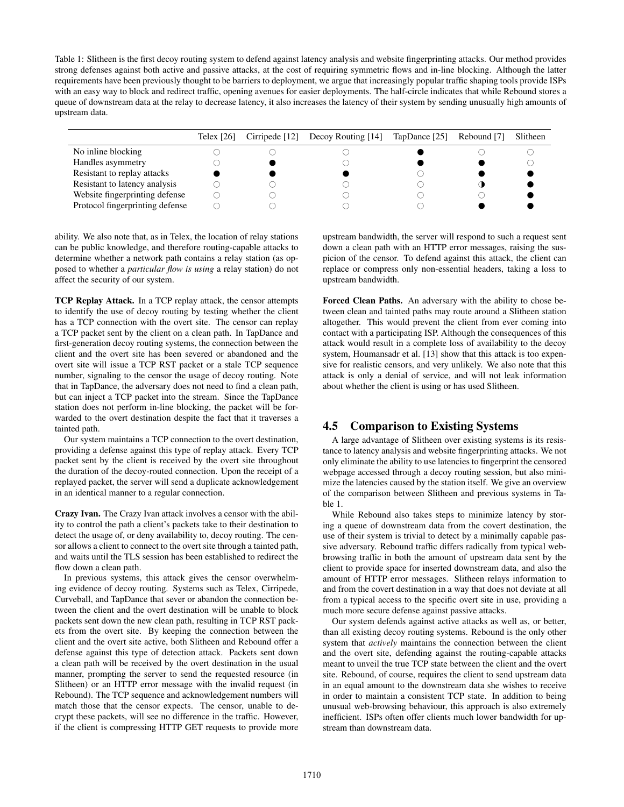Table 1: Slitheen is the first decoy routing system to defend against latency analysis and website fingerprinting attacks. Our method provides strong defenses against both active and passive attacks, at the cost of requiring symmetric flows and in-line blocking. Although the latter requirements have been previously thought to be barriers to deployment, we argue that increasingly popular traffic shaping tools provide ISPs with an easy way to block and redirect traffic, opening avenues for easier deployments. The half-circle indicates that while Rebound stores a queue of downstream data at the relay to decrease latency, it also increases the latency of their system by sending unusually high amounts of upstream data.

|                                 | Telex $[26]$ | Cirripede $[12]$ Decoy Routing $[14]$ | TapDance [25] | Rebound [7] | Slitheen |
|---------------------------------|--------------|---------------------------------------|---------------|-------------|----------|
| No inline blocking              |              |                                       |               |             |          |
| Handles asymmetry               |              |                                       |               |             |          |
| Resistant to replay attacks     |              |                                       |               |             |          |
| Resistant to latency analysis   |              |                                       |               |             |          |
| Website fingerprinting defense  |              |                                       |               |             |          |
| Protocol fingerprinting defense |              |                                       |               |             |          |

ability. We also note that, as in Telex, the location of relay stations can be public knowledge, and therefore routing-capable attacks to determine whether a network path contains a relay station (as opposed to whether a *particular flow is using* a relay station) do not affect the security of our system.

TCP Replay Attack. In a TCP replay attack, the censor attempts to identify the use of decoy routing by testing whether the client has a TCP connection with the overt site. The censor can replay a TCP packet sent by the client on a clean path. In TapDance and first-generation decoy routing systems, the connection between the client and the overt site has been severed or abandoned and the overt site will issue a TCP RST packet or a stale TCP sequence number, signaling to the censor the usage of decoy routing. Note that in TapDance, the adversary does not need to find a clean path, but can inject a TCP packet into the stream. Since the TapDance station does not perform in-line blocking, the packet will be forwarded to the overt destination despite the fact that it traverses a tainted path.

Our system maintains a TCP connection to the overt destination, providing a defense against this type of replay attack. Every TCP packet sent by the client is received by the overt site throughout the duration of the decoy-routed connection. Upon the receipt of a replayed packet, the server will send a duplicate acknowledgement in an identical manner to a regular connection.

Crazy Ivan. The Crazy Ivan attack involves a censor with the ability to control the path a client's packets take to their destination to detect the usage of, or deny availability to, decoy routing. The censor allows a client to connect to the overt site through a tainted path, and waits until the TLS session has been established to redirect the flow down a clean path.

In previous systems, this attack gives the censor overwhelming evidence of decoy routing. Systems such as Telex, Cirripede, Curveball, and TapDance that sever or abandon the connection between the client and the overt destination will be unable to block packets sent down the new clean path, resulting in TCP RST packets from the overt site. By keeping the connection between the client and the overt site active, both Slitheen and Rebound offer a defense against this type of detection attack. Packets sent down a clean path will be received by the overt destination in the usual manner, prompting the server to send the requested resource (in Slitheen) or an HTTP error message with the invalid request (in Rebound). The TCP sequence and acknowledgement numbers will match those that the censor expects. The censor, unable to decrypt these packets, will see no difference in the traffic. However, if the client is compressing HTTP GET requests to provide more upstream bandwidth, the server will respond to such a request sent down a clean path with an HTTP error messages, raising the suspicion of the censor. To defend against this attack, the client can replace or compress only non-essential headers, taking a loss to upstream bandwidth.

Forced Clean Paths. An adversary with the ability to chose between clean and tainted paths may route around a Slitheen station altogether. This would prevent the client from ever coming into contact with a participating ISP. Although the consequences of this attack would result in a complete loss of availability to the decoy system, Houmansadr et al. [13] show that this attack is too expensive for realistic censors, and very unlikely. We also note that this attack is only a denial of service, and will not leak information about whether the client is using or has used Slitheen.

#### 4.5 Comparison to Existing Systems

A large advantage of Slitheen over existing systems is its resistance to latency analysis and website fingerprinting attacks. We not only eliminate the ability to use latencies to fingerprint the censored webpage accessed through a decoy routing session, but also minimize the latencies caused by the station itself. We give an overview of the comparison between Slitheen and previous systems in Table 1.

While Rebound also takes steps to minimize latency by storing a queue of downstream data from the covert destination, the use of their system is trivial to detect by a minimally capable passive adversary. Rebound traffic differs radically from typical webbrowsing traffic in both the amount of upstream data sent by the client to provide space for inserted downstream data, and also the amount of HTTP error messages. Slitheen relays information to and from the covert destination in a way that does not deviate at all from a typical access to the specific overt site in use, providing a much more secure defense against passive attacks.

Our system defends against active attacks as well as, or better, than all existing decoy routing systems. Rebound is the only other system that *actively* maintains the connection between the client and the overt site, defending against the routing-capable attacks meant to unveil the true TCP state between the client and the overt site. Rebound, of course, requires the client to send upstream data in an equal amount to the downstream data she wishes to receive in order to maintain a consistent TCP state. In addition to being unusual web-browsing behaviour, this approach is also extremely inefficient. ISPs often offer clients much lower bandwidth for upstream than downstream data.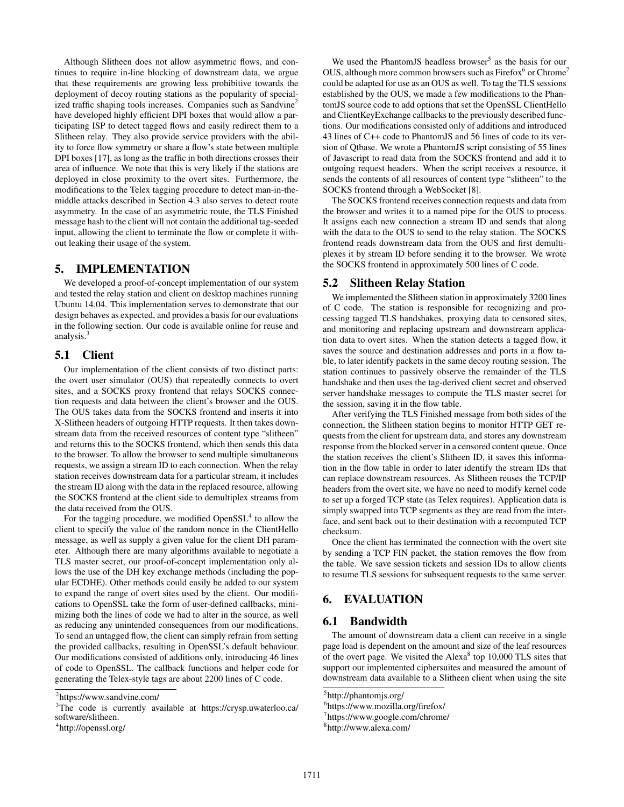Although Slitheen does not allow asymmetric flows, and continues to require in-line blocking of downstream data, we argue that these requirements are growing less prohibitive towards the deployment of decoy routing stations as the popularity of specialized traffic shaping tools increases. Companies such as Sandvine<sup>2</sup> have developed highly efficient DPI boxes that would allow a participating ISP to detect tagged flows and easily redirect them to a Slitheen relay. They also provide service providers with the ability to force flow symmetry or share a flow's state between multiple DPI boxes [17], as long as the traffic in both directions crosses their area of influence. We note that this is very likely if the stations are deployed in close proximity to the overt sites. Furthermore, the modifications to the Telex tagging procedure to detect man-in-themiddle attacks described in Section 4.3 also serves to detect route asymmetry. In the case of an asymmetric route, the TLS Finished message hash to the client will not contain the additional tag-seeded input, allowing the client to terminate the flow or complete it without leaking their usage of the system.

# 5. IMPLEMENTATION

We developed a proof-of-concept implementation of our system and tested the relay station and client on desktop machines running Ubuntu 14.04. This implementation serves to demonstrate that our design behaves as expected, and provides a basis for our evaluations in the following section. Our code is available online for reuse and analysis.<sup>3</sup>

#### 5.1 Client

Our implementation of the client consists of two distinct parts: the overt user simulator (OUS) that repeatedly connects to overt sites, and a SOCKS proxy frontend that relays SOCKS connection requests and data between the client's browser and the OUS. The OUS takes data from the SOCKS frontend and inserts it into X-Slitheen headers of outgoing HTTP requests. It then takes downstream data from the received resources of content type "slitheen" and returns this to the SOCKS frontend, which then sends this data to the browser. To allow the browser to send multiple simultaneous requests, we assign a stream ID to each connection. When the relay station receives downstream data for a particular stream, it includes the stream ID along with the data in the replaced resource, allowing the SOCKS frontend at the client side to demultiplex streams from the data received from the OUS.

For the tagging procedure, we modified  $OpenSSL<sup>4</sup>$  to allow the client to specify the value of the random nonce in the ClientHello message, as well as supply a given value for the client DH parameter. Although there are many algorithms available to negotiate a TLS master secret, our proof-of-concept implementation only allows the use of the DH key exchange methods (including the popular ECDHE). Other methods could easily be added to our system to expand the range of overt sites used by the client. Our modifications to OpenSSL take the form of user-defined callbacks, minimizing both the lines of code we had to alter in the source, as well as reducing any unintended consequences from our modifications. To send an untagged flow, the client can simply refrain from setting the provided callbacks, resulting in OpenSSL's default behaviour. Our modifications consisted of additions only, introducing 46 lines of code to OpenSSL. The callback functions and helper code for generating the Telex-style tags are about 2200 lines of C code.

We used the PhantomJS headless browser<sup>5</sup> as the basis for our OUS, although more common browsers such as  $Firefox<sup>6</sup>$  or Chrome<sup>7</sup> could be adapted for use as an OUS as well. To tag the TLS sessions established by the OUS, we made a few modifications to the PhantomJS source code to add options that set the OpenSSL ClientHello and ClientKeyExchange callbacks to the previously described functions. Our modifications consisted only of additions and introduced 43 lines of C++ code to PhantomJS and 56 lines of code to its version of Qtbase. We wrote a PhantomJS script consisting of 55 lines of Javascript to read data from the SOCKS frontend and add it to outgoing request headers. When the script receives a resource, it sends the contents of all resources of content type "slitheen" to the SOCKS frontend through a WebSocket [8].

The SOCKS frontend receives connection requests and data from the browser and writes it to a named pipe for the OUS to process. It assigns each new connection a stream ID and sends that along with the data to the OUS to send to the relay station. The SOCKS frontend reads downstream data from the OUS and first demultiplexes it by stream ID before sending it to the browser. We wrote the SOCKS frontend in approximately 500 lines of C code.

#### 5.2 Slitheen Relay Station

We implemented the Slitheen station in approximately 3200 lines of C code. The station is responsible for recognizing and processing tagged TLS handshakes, proxying data to censored sites, and monitoring and replacing upstream and downstream application data to overt sites. When the station detects a tagged flow, it saves the source and destination addresses and ports in a flow table, to later identify packets in the same decoy routing session. The station continues to passively observe the remainder of the TLS handshake and then uses the tag-derived client secret and observed server handshake messages to compute the TLS master secret for the session, saving it in the flow table.

After verifying the TLS Finished message from both sides of the connection, the Slitheen station begins to monitor HTTP GET requests from the client for upstream data, and stores any downstream response from the blocked server in a censored content queue. Once the station receives the client's Slitheen ID, it saves this information in the flow table in order to later identify the stream IDs that can replace downstream resources. As Slitheen reuses the TCP/IP headers from the overt site, we have no need to modify kernel code to set up a forged TCP state (as Telex requires). Application data is simply swapped into TCP segments as they are read from the interface, and sent back out to their destination with a recomputed TCP checksum.

Once the client has terminated the connection with the overt site by sending a TCP FIN packet, the station removes the flow from the table. We save session tickets and session IDs to allow clients to resume TLS sessions for subsequent requests to the same server.

# 6. EVALUATION

#### 6.1 Bandwidth

The amount of downstream data a client can receive in a single page load is dependent on the amount and size of the leaf resources of the overt page. We visited the Alexa $8$  top 10,000 TLS sites that support our implemented ciphersuites and measured the amount of downstream data available to a Slitheen client when using the site

<sup>&</sup>lt;sup>2</sup>https://www.sandvine.com/

<sup>&</sup>lt;sup>3</sup>The code is currently available at https://crysp.uwaterloo.ca/ software/slitheen.

<sup>4</sup> http://openssl.org/

<sup>5</sup> http://phantomjs.org/

<sup>6</sup> https://www.mozilla.org/firefox/

<sup>7</sup> https://www.google.com/chrome/

<sup>8</sup> http://www.alexa.com/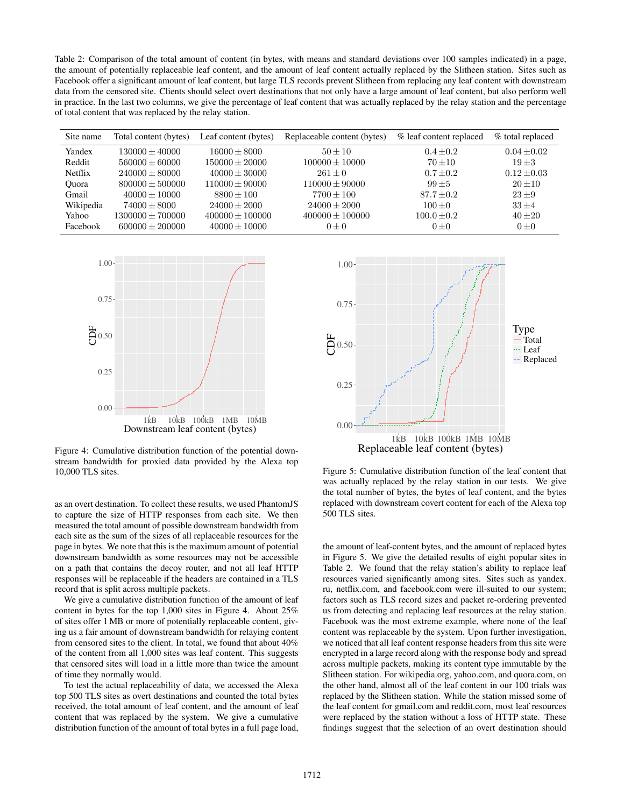Table 2: Comparison of the total amount of content (in bytes, with means and standard deviations over 100 samples indicated) in a page, the amount of potentially replaceable leaf content, and the amount of leaf content actually replaced by the Slitheen station. Sites such as Facebook offer a significant amount of leaf content, but large TLS records prevent Slitheen from replacing any leaf content with downstream data from the censored site. Clients should select overt destinations that not only have a large amount of leaf content, but also perform well in practice. In the last two columns, we give the percentage of leaf content that was actually replaced by the relay station and the percentage of total content that was replaced by the relay station.

| Site name | Total content (bytes) | Leaf content (bytes) | Replaceable content (bytes) | % leaf content replaced | % total replaced |
|-----------|-----------------------|----------------------|-----------------------------|-------------------------|------------------|
| Yandex    | $130000 + 40000$      | $16000 + 8000$       | $50 + 10$                   | $0.4 + 0.2$             | $0.04 \pm 0.02$  |
| Reddit    | $560000 \pm 60000$    | $150000 \pm 20000$   | $100000 \pm 10000$          | $70 \pm 10$             | $19\pm3$         |
| Netflix   | $240000 + 80000$      | $40000 + 30000$      | $261 + 0$                   | $0.7 + 0.2$             | $0.12 + 0.03$    |
| Ouora     | $800000 + 500000$     | $110000 + 90000$     | $110000 \pm 90000$          | $99 + 5$                | $20 + 10$        |
| Gmail     | $40000 \pm 10000$     | $8800 + 100$         | $7700 \pm 100$              | $87.7 \pm 0.2$          | $23+9$           |
| Wikipedia | $74000 + 8000$        | $24000 + 2000$       | $24000 + 2000$              | $100 + 0$               | $33 + 4$         |
| Yahoo     | $1300000 \pm 700000$  | $400000 + 100000$    | $400000 \pm 100000$         | $100.0 \pm 0.2$         | $40 \pm 20$      |
| Facebook  | $600000 \pm 200000$   | $40000 \pm 10000$    | $0 + 0$                     | $0 + 0$                 | $0 + 0$          |



Figure 4: Cumulative distribution function of the potential downstream bandwidth for proxied data provided by the Alexa top 10,000 TLS sites.

as an overt destination. To collect these results, we used PhantomJS to capture the size of HTTP responses from each site. We then measured the total amount of possible downstream bandwidth from each site as the sum of the sizes of all replaceable resources for the page in bytes. We note that this is the maximum amount of potential downstream bandwidth as some resources may not be accessible on a path that contains the decoy router, and not all leaf HTTP responses will be replaceable if the headers are contained in a TLS record that is split across multiple packets.

We give a cumulative distribution function of the amount of leaf content in bytes for the top 1,000 sites in Figure 4. About 25% of sites offer 1 MB or more of potentially replaceable content, giving us a fair amount of downstream bandwidth for relaying content from censored sites to the client. In total, we found that about 40% of the content from all 1,000 sites was leaf content. This suggests that censored sites will load in a little more than twice the amount of time they normally would.

To test the actual replaceability of data, we accessed the Alexa top 500 TLS sites as overt destinations and counted the total bytes received, the total amount of leaf content, and the amount of leaf content that was replaced by the system. We give a cumulative distribution function of the amount of total bytes in a full page load,



Figure 5: Cumulative distribution function of the leaf content that was actually replaced by the relay station in our tests. We give the total number of bytes, the bytes of leaf content, and the bytes replaced with downstream covert content for each of the Alexa top 500 TLS sites.

the amount of leaf-content bytes, and the amount of replaced bytes in Figure 5. We give the detailed results of eight popular sites in Table 2. We found that the relay station's ability to replace leaf resources varied significantly among sites. Sites such as yandex. ru, netflix.com, and facebook.com were ill-suited to our system; factors such as TLS record sizes and packet re-ordering prevented us from detecting and replacing leaf resources at the relay station. Facebook was the most extreme example, where none of the leaf content was replaceable by the system. Upon further investigation, we noticed that all leaf content response headers from this site were encrypted in a large record along with the response body and spread across multiple packets, making its content type immutable by the Slitheen station. For wikipedia.org, yahoo.com, and quora.com, on the other hand, almost all of the leaf content in our 100 trials was replaced by the Slitheen station. While the station missed some of the leaf content for gmail.com and reddit.com, most leaf resources were replaced by the station without a loss of HTTP state. These findings suggest that the selection of an overt destination should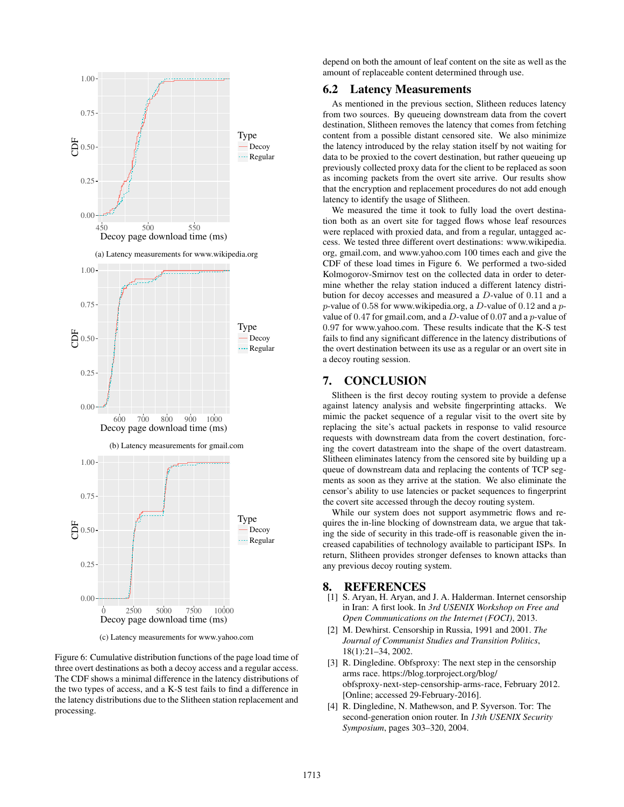

(c) Latency measurements for www.yahoo.com

Figure 6: Cumulative distribution functions of the page load time of three overt destinations as both a decoy access and a regular access. The CDF shows a minimal difference in the latency distributions of the two types of access, and a K-S test fails to find a difference in the latency distributions due to the Slitheen station replacement and processing.

depend on both the amount of leaf content on the site as well as the amount of replaceable content determined through use.

### 6.2 Latency Measurements

As mentioned in the previous section, Slitheen reduces latency from two sources. By queueing downstream data from the covert destination, Slitheen removes the latency that comes from fetching content from a possible distant censored site. We also minimize the latency introduced by the relay station itself by not waiting for data to be proxied to the covert destination, but rather queueing up previously collected proxy data for the client to be replaced as soon as incoming packets from the overt site arrive. Our results show that the encryption and replacement procedures do not add enough latency to identify the usage of Slitheen.

We measured the time it took to fully load the overt destination both as an overt site for tagged flows whose leaf resources were replaced with proxied data, and from a regular, untagged access. We tested three different overt destinations: www.wikipedia. org, gmail.com, and www.yahoo.com 100 times each and give the CDF of these load times in Figure 6. We performed a two-sided Kolmogorov-Smirnov test on the collected data in order to determine whether the relay station induced a different latency distribution for decoy accesses and measured a D-value of 0.11 and a p-value of 0.58 for www.wikipedia.org, a D-value of 0.12 and a  $p$ value of 0.47 for gmail.com, and a  $D$ -value of 0.07 and a  $p$ -value of 0.97 for www.yahoo.com. These results indicate that the K-S test fails to find any significant difference in the latency distributions of the overt destination between its use as a regular or an overt site in a decoy routing session.

#### 7. CONCLUSION

Slitheen is the first decoy routing system to provide a defense against latency analysis and website fingerprinting attacks. We mimic the packet sequence of a regular visit to the overt site by replacing the site's actual packets in response to valid resource requests with downstream data from the covert destination, forcing the covert datastream into the shape of the overt datastream. Slitheen eliminates latency from the censored site by building up a queue of downstream data and replacing the contents of TCP segments as soon as they arrive at the station. We also eliminate the censor's ability to use latencies or packet sequences to fingerprint the covert site accessed through the decoy routing system.

While our system does not support asymmetric flows and requires the in-line blocking of downstream data, we argue that taking the side of security in this trade-off is reasonable given the increased capabilities of technology available to participant ISPs. In return, Slitheen provides stronger defenses to known attacks than any previous decoy routing system.

# 8. REFERENCES

- [1] S. Aryan, H. Aryan, and J. A. Halderman. Internet censorship in Iran: A first look. In *3rd USENIX Workshop on Free and Open Communications on the Internet (FOCI)*, 2013.
- [2] M. Dewhirst. Censorship in Russia, 1991 and 2001. *The Journal of Communist Studies and Transition Politics*, 18(1):21–34, 2002.
- [3] R. Dingledine. Obfsproxy: The next step in the censorship arms race. https://blog.torproject.org/blog/ obfsproxy-next-step-censorship-arms-race, February 2012. [Online; accessed 29-February-2016].
- [4] R. Dingledine, N. Mathewson, and P. Syverson. Tor: The second-generation onion router. In *13th USENIX Security Symposium*, pages 303–320, 2004.